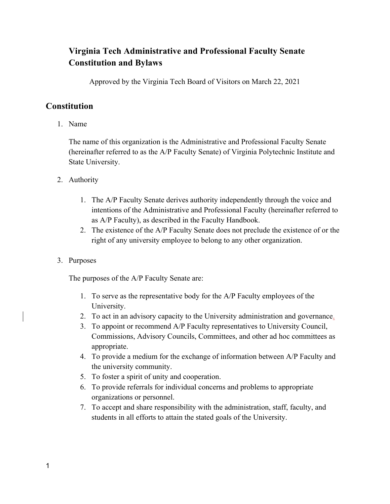# **Virginia Tech Administrative and Professional Faculty Senate Constitution and Bylaws**

Approved by the Virginia Tech Board of Visitors on March 22, 2021

# **Constitution**

1. Name

The name of this organization is the Administrative and Professional Faculty Senate (hereinafter referred to as the A/P Faculty Senate) of Virginia Polytechnic Institute and State University.

- 2. Authority
	- 1. The A/P Faculty Senate derives authority independently through the voice and intentions of the Administrative and Professional Faculty (hereinafter referred to as A/P Faculty), as described in the Faculty Handbook.
	- 2. The existence of the A/P Faculty Senate does not preclude the existence of or the right of any university employee to belong to any other organization.
- 3. Purposes

The purposes of the A/P Faculty Senate are:

- 1. To serve as the representative body for the A/P Faculty employees of the University.
- 2. To act in an advisory capacity to the University administration and governance.
- 3. To appoint or recommend A/P Faculty representatives to University Council, Commissions, Advisory Councils, Committees, and other ad hoc committees as appropriate.
- 4. To provide a medium for the exchange of information between A/P Faculty and the university community.
- 5. To foster a spirit of unity and cooperation.
- 6. To provide referrals for individual concerns and problems to appropriate organizations or personnel.
- 7. To accept and share responsibility with the administration, staff, faculty, and students in all efforts to attain the stated goals of the University.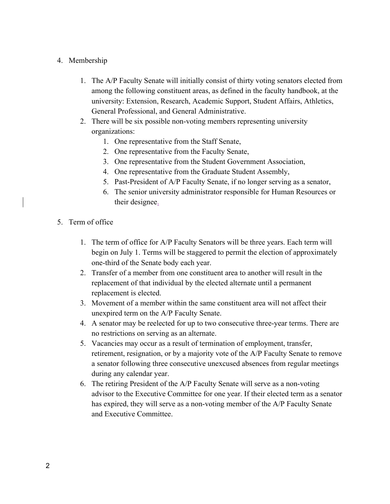### 4. Membership

- 1. The A/P Faculty Senate will initially consist of thirty voting senators elected from among the following constituent areas, as defined in the faculty handbook, at the university: Extension, Research, Academic Support, Student Affairs, Athletics, General Professional, and General Administrative.
- 2. There will be six possible non-voting members representing university organizations:
	- 1. One representative from the Staff Senate,
	- 2. One representative from the Faculty Senate,
	- 3. One representative from the Student Government Association,
	- 4. One representative from the Graduate Student Assembly,
	- 5. Past-President of A/P Faculty Senate, if no longer serving as a senator,
	- 6. The senior university administrator responsible for Human Resources or their designee.
- 5. Term of office
	- 1. The term of office for A/P Faculty Senators will be three years. Each term will begin on July 1. Terms will be staggered to permit the election of approximately one-third of the Senate body each year.
	- 2. Transfer of a member from one constituent area to another will result in the replacement of that individual by the elected alternate until a permanent replacement is elected.
	- 3. Movement of a member within the same constituent area will not affect their unexpired term on the A/P Faculty Senate.
	- 4. A senator may be reelected for up to two consecutive three-year terms. There are no restrictions on serving as an alternate.
	- 5. Vacancies may occur as a result of termination of employment, transfer, retirement, resignation, or by a majority vote of the A/P Faculty Senate to remove a senator following three consecutive unexcused absences from regular meetings during any calendar year.
	- 6. The retiring President of the A/P Faculty Senate will serve as a non-voting advisor to the Executive Committee for one year. If their elected term as a senator has expired, they will serve as a non-voting member of the A/P Faculty Senate and Executive Committee.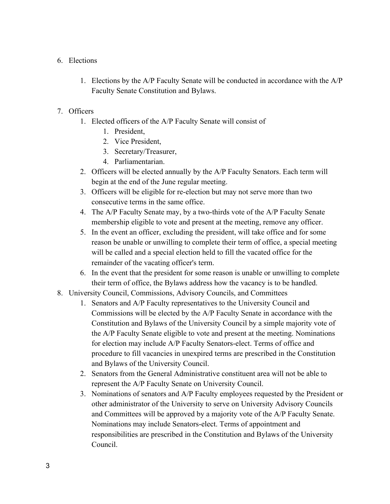#### 6. Elections

1. Elections by the A/P Faculty Senate will be conducted in accordance with the A/P Faculty Senate Constitution and Bylaws.

#### 7. Officers

- 1. Elected officers of the A/P Faculty Senate will consist of
	- 1. President,
	- 2. Vice President,
	- 3. Secretary/Treasurer,
	- 4. Parliamentarian.
- 2. Officers will be elected annually by the A/P Faculty Senators. Each term will begin at the end of the June regular meeting.
- 3. Officers will be eligible for re-election but may not serve more than two consecutive terms in the same office.
- 4. The A/P Faculty Senate may, by a two-thirds vote of the A/P Faculty Senate membership eligible to vote and present at the meeting, remove any officer.
- 5. In the event an officer, excluding the president, will take office and for some reason be unable or unwilling to complete their term of office, a special meeting will be called and a special election held to fill the vacated office for the remainder of the vacating officer's term.
- 6. In the event that the president for some reason is unable or unwilling to complete their term of office, the Bylaws address how the vacancy is to be handled.
- 8. University Council, Commissions, Advisory Councils, and Committees
	- 1. Senators and A/P Faculty representatives to the University Council and Commissions will be elected by the A/P Faculty Senate in accordance with the Constitution and Bylaws of the University Council by a simple majority vote of the A/P Faculty Senate eligible to vote and present at the meeting. Nominations for election may include A/P Faculty Senators-elect. Terms of office and procedure to fill vacancies in unexpired terms are prescribed in the Constitution and Bylaws of the University Council.
	- 2. Senators from the General Administrative constituent area will not be able to represent the A/P Faculty Senate on University Council.
	- 3. Nominations of senators and A/P Faculty employees requested by the President or other administrator of the University to serve on University Advisory Councils and Committees will be approved by a majority vote of the A/P Faculty Senate. Nominations may include Senators-elect. Terms of appointment and responsibilities are prescribed in the Constitution and Bylaws of the University Council.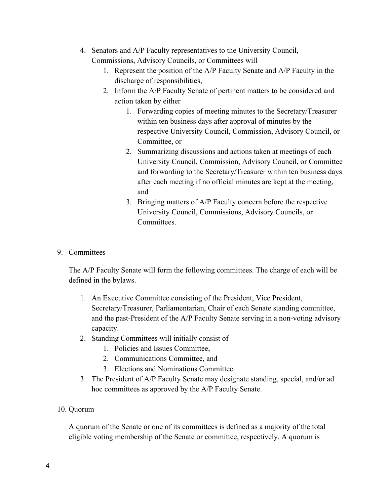- 4. Senators and A/P Faculty representatives to the University Council, Commissions, Advisory Councils, or Committees will
	- 1. Represent the position of the A/P Faculty Senate and A/P Faculty in the discharge of responsibilities,
	- 2. Inform the A/P Faculty Senate of pertinent matters to be considered and action taken by either
		- 1. Forwarding copies of meeting minutes to the Secretary/Treasurer within ten business days after approval of minutes by the respective University Council, Commission, Advisory Council, or Committee, or
		- 2. Summarizing discussions and actions taken at meetings of each University Council, Commission, Advisory Council, or Committee and forwarding to the Secretary/Treasurer within ten business days after each meeting if no official minutes are kept at the meeting, and
		- 3. Bringing matters of A/P Faculty concern before the respective University Council, Commissions, Advisory Councils, or Committees.
- 9. Committees

The A/P Faculty Senate will form the following committees. The charge of each will be defined in the bylaws.

- 1. An Executive Committee consisting of the President, Vice President, Secretary/Treasurer, Parliamentarian, Chair of each Senate standing committee, and the past-President of the A/P Faculty Senate serving in a non-voting advisory capacity.
- 2. Standing Committees will initially consist of
	- 1. Policies and Issues Committee,
	- 2. Communications Committee, and
	- 3. Elections and Nominations Committee.
- 3. The President of A/P Faculty Senate may designate standing, special, and/or ad hoc committees as approved by the A/P Faculty Senate.

#### 10. Quorum

A quorum of the Senate or one of its committees is defined as a majority of the total eligible voting membership of the Senate or committee, respectively. A quorum is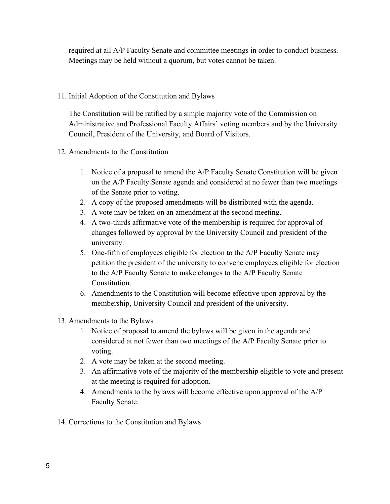required at all A/P Faculty Senate and committee meetings in order to conduct business. Meetings may be held without a quorum, but votes cannot be taken.

### 11. Initial Adoption of the Constitution and Bylaws

The Constitution will be ratified by a simple majority vote of the Commission on Administrative and Professional Faculty Affairs' voting members and by the University Council, President of the University, and Board of Visitors.

- 12. Amendments to the Constitution
	- 1. Notice of a proposal to amend the A/P Faculty Senate Constitution will be given on the A/P Faculty Senate agenda and considered at no fewer than two meetings of the Senate prior to voting.
	- 2. A copy of the proposed amendments will be distributed with the agenda.
	- 3. A vote may be taken on an amendment at the second meeting.
	- 4. A two-thirds affirmative vote of the membership is required for approval of changes followed by approval by the University Council and president of the university.
	- 5. One-fifth of employees eligible for election to the A/P Faculty Senate may petition the president of the university to convene employees eligible for election to the A/P Faculty Senate to make changes to the A/P Faculty Senate Constitution.
	- 6. Amendments to the Constitution will become effective upon approval by the membership, University Council and president of the university.
- 13. Amendments to the Bylaws
	- 1. Notice of proposal to amend the bylaws will be given in the agenda and considered at not fewer than two meetings of the A/P Faculty Senate prior to voting.
	- 2. A vote may be taken at the second meeting.
	- 3. An affirmative vote of the majority of the membership eligible to vote and present at the meeting is required for adoption.
	- 4. Amendments to the bylaws will become effective upon approval of the A/P Faculty Senate.
- 14. Corrections to the Constitution and Bylaws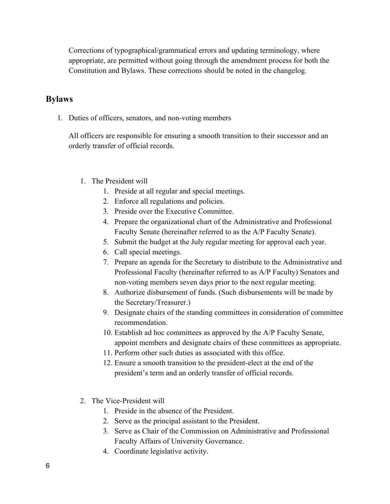Corrections of typographical/grammatical errors and updating terminology, where appropriate, are permitted without going through the amendment process for both the Constitution and Bylaws. These corrections should be noted in the changelog.

## **Bylaws**

1. Duties of officers, senators, and non-voting members

All officers are responsible for ensuring a smooth transition to their successor and an orderly transfer of official records.

- 1. The President will
	- 1. Preside at all regular and special meetings.
	- 2. Enforce all regulations and policies.
	- 3. Preside over the Executive Committee.
	- 4. Prepare the organizational chart of the Administrative and Professional Faculty Senate (hereinafter referred to as the A/P Faculty Senate).
	- 5. Submit the budget at the July regular meeting for approval each year.
	- 6. Call special meetings.
	- 7. Prepare an agenda for the Secretary to distribute to the Administrative and Professional Faculty (hereinafter referred to as A/P Faculty) Senators and non-voting members seven days prior to the next regular meeting.
	- 8. Authorize disbursement of funds. (Such disbursements will be made by the Secretary/Treasurer.)
	- 9. Designate chairs of the standing committees in consideration of committee recommendation.
	- 10. Establish ad hoc committees as approved by the A/P Faculty Senate, appoint members and designate chairs of these committees as appropriate.
	- 11. Perform other such duties as associated with this office.
	- 12. Ensure a smooth transition to the president-elect at the end of the president's term and an orderly transfer of official records.
- 2. The Vice-President will
	- 1. Preside in the absence of the President.
	- 2. Serve as the principal assistant to the President.
	- 3. Serve as Chair of the Commission on Administrative and Professional Faculty Affairs of University Governance.
	- 4. Coordinate legislative activity.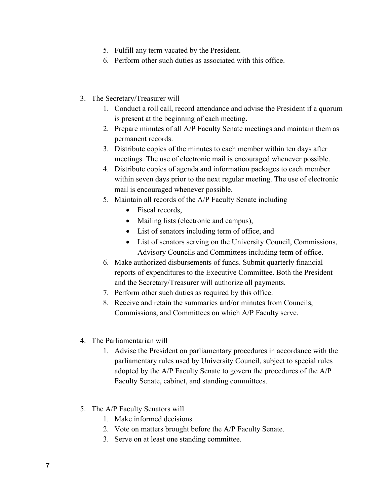- 5. Fulfill any term vacated by the President.
- 6. Perform other such duties as associated with this office.
- 3. The Secretary/Treasurer will
	- 1. Conduct a roll call, record attendance and advise the President if a quorum is present at the beginning of each meeting.
	- 2. Prepare minutes of all A/P Faculty Senate meetings and maintain them as permanent records.
	- 3. Distribute copies of the minutes to each member within ten days after meetings. The use of electronic mail is encouraged whenever possible.
	- 4. Distribute copies of agenda and information packages to each member within seven days prior to the next regular meeting. The use of electronic mail is encouraged whenever possible.
	- 5. Maintain all records of the A/P Faculty Senate including
		- Fiscal records,
		- Mailing lists (electronic and campus),
		- List of senators including term of office, and
		- List of senators serving on the University Council, Commissions, Advisory Councils and Committees including term of office.
	- 6. Make authorized disbursements of funds. Submit quarterly financial reports of expenditures to the Executive Committee. Both the President and the Secretary/Treasurer will authorize all payments.
	- 7. Perform other such duties as required by this office.
	- 8. Receive and retain the summaries and/or minutes from Councils, Commissions, and Committees on which A/P Faculty serve.
- 4. The Parliamentarian will
	- 1. Advise the President on parliamentary procedures in accordance with the parliamentary rules used by University Council, subject to special rules adopted by the A/P Faculty Senate to govern the procedures of the A/P Faculty Senate, cabinet, and standing committees.
- 5. The A/P Faculty Senators will
	- 1. Make informed decisions.
	- 2. Vote on matters brought before the A/P Faculty Senate.
	- 3. Serve on at least one standing committee.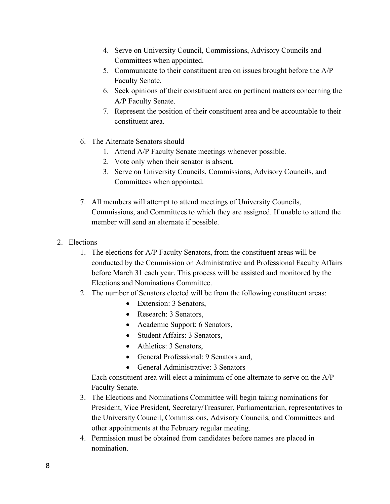- 4. Serve on University Council, Commissions, Advisory Councils and Committees when appointed.
- 5. Communicate to their constituent area on issues brought before the A/P Faculty Senate.
- 6. Seek opinions of their constituent area on pertinent matters concerning the A/P Faculty Senate.
- 7. Represent the position of their constituent area and be accountable to their constituent area.
- 6. The Alternate Senators should
	- 1. Attend A/P Faculty Senate meetings whenever possible.
	- 2. Vote only when their senator is absent.
	- 3. Serve on University Councils, Commissions, Advisory Councils, and Committees when appointed.
- 7. All members will attempt to attend meetings of University Councils, Commissions, and Committees to which they are assigned. If unable to attend the member will send an alternate if possible.
- 2. Elections
	- 1. The elections for A/P Faculty Senators, from the constituent areas will be conducted by the Commission on Administrative and Professional Faculty Affairs before March 31 each year. This process will be assisted and monitored by the Elections and Nominations Committee.
	- 2. The number of Senators elected will be from the following constituent areas:
		- Extension: 3 Senators,
		- Research: 3 Senators,
		- Academic Support: 6 Senators,
		- Student Affairs: 3 Senators,
		- Athletics: 3 Senators,
		- General Professional: 9 Senators and,
		- General Administrative: 3 Senators

Each constituent area will elect a minimum of one alternate to serve on the A/P Faculty Senate.

- 3. The Elections and Nominations Committee will begin taking nominations for President, Vice President, Secretary/Treasurer, Parliamentarian, representatives to the University Council, Commissions, Advisory Councils, and Committees and other appointments at the February regular meeting.
- 4. Permission must be obtained from candidates before names are placed in nomination.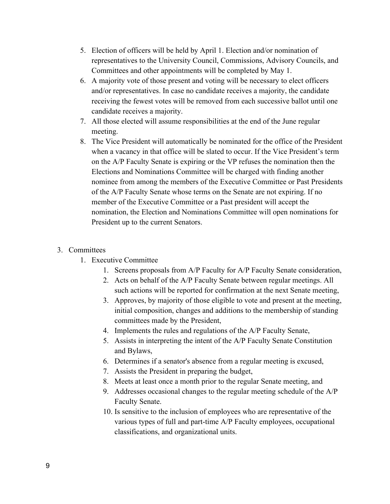- 5. Election of officers will be held by April 1. Election and/or nomination of representatives to the University Council, Commissions, Advisory Councils, and Committees and other appointments will be completed by May 1.
- 6. A majority vote of those present and voting will be necessary to elect officers and/or representatives. In case no candidate receives a majority, the candidate receiving the fewest votes will be removed from each successive ballot until one candidate receives a majority.
- 7. All those elected will assume responsibilities at the end of the June regular meeting.
- 8. The Vice President will automatically be nominated for the office of the President when a vacancy in that office will be slated to occur. If the Vice President's term on the A/P Faculty Senate is expiring or the VP refuses the nomination then the Elections and Nominations Committee will be charged with finding another nominee from among the members of the Executive Committee or Past Presidents of the A/P Faculty Senate whose terms on the Senate are not expiring. If no member of the Executive Committee or a Past president will accept the nomination, the Election and Nominations Committee will open nominations for President up to the current Senators.

#### 3. Committees

- 1. Executive Committee
	- 1. Screens proposals from A/P Faculty for A/P Faculty Senate consideration,
	- 2. Acts on behalf of the A/P Faculty Senate between regular meetings. All such actions will be reported for confirmation at the next Senate meeting,
	- 3. Approves, by majority of those eligible to vote and present at the meeting, initial composition, changes and additions to the membership of standing committees made by the President,
	- 4. Implements the rules and regulations of the A/P Faculty Senate,
	- 5. Assists in interpreting the intent of the A/P Faculty Senate Constitution and Bylaws,
	- 6. Determines if a senator's absence from a regular meeting is excused,
	- 7. Assists the President in preparing the budget,
	- 8. Meets at least once a month prior to the regular Senate meeting, and
	- 9. Addresses occasional changes to the regular meeting schedule of the A/P Faculty Senate.
	- 10. Is sensitive to the inclusion of employees who are representative of the various types of full and part-time A/P Faculty employees, occupational classifications, and organizational units.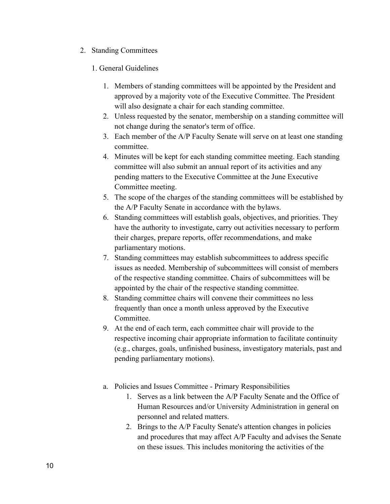- 2. Standing Committees
	- 1. General Guidelines
		- 1. Members of standing committees will be appointed by the President and approved by a majority vote of the Executive Committee. The President will also designate a chair for each standing committee.
		- 2. Unless requested by the senator, membership on a standing committee will not change during the senator's term of office.
		- 3. Each member of the A/P Faculty Senate will serve on at least one standing committee.
		- 4. Minutes will be kept for each standing committee meeting. Each standing committee will also submit an annual report of its activities and any pending matters to the Executive Committee at the June Executive Committee meeting.
		- 5. The scope of the charges of the standing committees will be established by the A/P Faculty Senate in accordance with the bylaws.
		- 6. Standing committees will establish goals, objectives, and priorities. They have the authority to investigate, carry out activities necessary to perform their charges, prepare reports, offer recommendations, and make parliamentary motions.
		- 7. Standing committees may establish subcommittees to address specific issues as needed. Membership of subcommittees will consist of members of the respective standing committee. Chairs of subcommittees will be appointed by the chair of the respective standing committee.
		- 8. Standing committee chairs will convene their committees no less frequently than once a month unless approved by the Executive Committee.
		- 9. At the end of each term, each committee chair will provide to the respective incoming chair appropriate information to facilitate continuity (e.g., charges, goals, unfinished business, investigatory materials, past and pending parliamentary motions).
		- a. Policies and Issues Committee Primary Responsibilities
			- 1. Serves as a link between the A/P Faculty Senate and the Office of Human Resources and/or University Administration in general on personnel and related matters.
			- 2. Brings to the A/P Faculty Senate's attention changes in policies and procedures that may affect A/P Faculty and advises the Senate on these issues. This includes monitoring the activities of the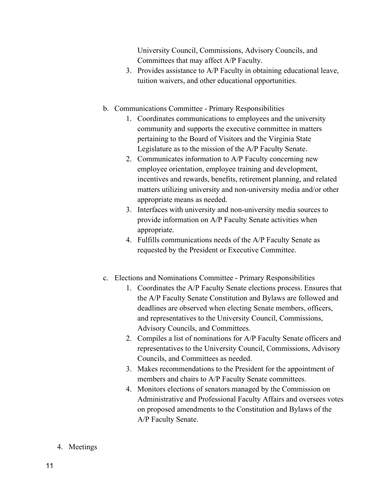University Council, Commissions, Advisory Councils, and Committees that may affect A/P Faculty.

- 3. Provides assistance to A/P Faculty in obtaining educational leave, tuition waivers, and other educational opportunities.
- b. Communications Committee Primary Responsibilities
	- 1. Coordinates communications to employees and the university community and supports the executive committee in matters pertaining to the Board of Visitors and the Virginia State Legislature as to the mission of the A/P Faculty Senate.
	- 2. Communicates information to A/P Faculty concerning new employee orientation, employee training and development, incentives and rewards, benefits, retirement planning, and related matters utilizing university and non-university media and/or other appropriate means as needed.
	- 3. Interfaces with university and non-university media sources to provide information on A/P Faculty Senate activities when appropriate.
	- 4. Fulfills communications needs of the A/P Faculty Senate as requested by the President or Executive Committee.
- c. Elections and Nominations Committee Primary Responsibilities
	- 1. Coordinates the A/P Faculty Senate elections process. Ensures that the A/P Faculty Senate Constitution and Bylaws are followed and deadlines are observed when electing Senate members, officers, and representatives to the University Council, Commissions, Advisory Councils, and Committees.
	- 2. Compiles a list of nominations for A/P Faculty Senate officers and representatives to the University Council, Commissions, Advisory Councils, and Committees as needed.
	- 3. Makes recommendations to the President for the appointment of members and chairs to A/P Faculty Senate committees.
	- 4. Monitors elections of senators managed by the Commission on Administrative and Professional Faculty Affairs and oversees votes on proposed amendments to the Constitution and Bylaws of the A/P Faculty Senate.
- 4. Meetings